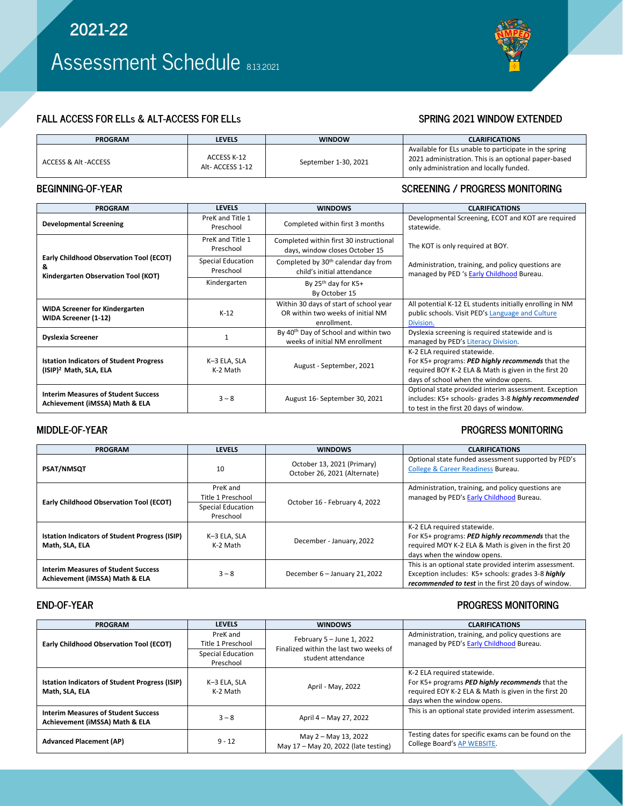# **FALL ACCESS FOR ELLs & ALT-ACCESS FOR ELLs SPRING 2021 WINDOW EXTENDED**

| <b>PROGRAM</b>       | <b>LEVELS</b>                  | <b>WINDOW</b>        | <b>CLARIFICATIONS</b>                                                                                                                                    |
|----------------------|--------------------------------|----------------------|----------------------------------------------------------------------------------------------------------------------------------------------------------|
| ACCESS & Alt -ACCESS | ACCESS K-12<br>Alt-ACCESS 1-12 | September 1-30, 2021 | Available for ELs unable to participate in the spring<br>2021 administration. This is an optional paper-based<br>only administration and locally funded. |

### **BEGINNING-OF-YEAR SCREENING / PROGRESS MONITORING**

| <b>PROGRAM</b>                                                                             | <b>LEVELS</b>                  | <b>WINDOWS</b>                                                                             | <b>CLARIFICATIONS</b>                                                                                                                                                            |  |
|--------------------------------------------------------------------------------------------|--------------------------------|--------------------------------------------------------------------------------------------|----------------------------------------------------------------------------------------------------------------------------------------------------------------------------------|--|
| <b>Developmental Screening</b>                                                             | PreK and Title 1<br>Preschool  | Completed within first 3 months                                                            | Developmental Screening, ECOT and KOT are required<br>statewide.                                                                                                                 |  |
| <b>Early Childhood Observation Tool (ECOT)</b><br>&<br>Kindergarten Observation Tool (KOT) | PreK and Title 1<br>Preschool  | Completed within first 30 instructional<br>days, window closes October 15                  | The KOT is only required at BOY.                                                                                                                                                 |  |
|                                                                                            | Special Education<br>Preschool | Completed by 30 <sup>th</sup> calendar day from<br>child's initial attendance              | Administration, training, and policy questions are<br>managed by PED 's Early Childhood Bureau.                                                                                  |  |
|                                                                                            | Kindergarten                   | By 25 <sup>th</sup> day for K5+<br>By October 15                                           |                                                                                                                                                                                  |  |
| <b>WIDA Screener for Kindergarten</b><br>WIDA Screener (1-12)                              | $K-12$                         | Within 30 days of start of school year<br>OR within two weeks of initial NM<br>enrollment. | All potential K-12 EL students initially enrolling in NM<br>public schools. Visit PED's Language and Culture<br>Division.                                                        |  |
| <b>Dyslexia Screener</b>                                                                   |                                | By 40 <sup>th</sup> Day of School and within two<br>weeks of initial NM enrollment         | Dyslexia screening is required statewide and is<br>managed by PED's Literacy Division.                                                                                           |  |
| <b>Istation Indicators of Student Progress</b><br>(ISIP) <sup>2</sup> Math, SLA, ELA       | K-3 ELA, SLA<br>K-2 Math       | August - September, 2021                                                                   | K-2 ELA required statewide.<br>For K5+ programs: PED highly recommends that the<br>required BOY K-2 ELA & Math is given in the first 20<br>days of school when the window opens. |  |
| <b>Interim Measures of Student Success</b><br>Achievement (iMSSA) Math & ELA               | $3 - 8$                        | August 16-September 30, 2021                                                               | Optional state provided interim assessment. Exception<br>includes: K5+ schools- grades 3-8 highly recommended<br>to test in the first 20 days of window.                         |  |

### **MIDDLE-OF-YEAR PROGRESS MONITORING**

### **PROGRAM LEVELS WINDOWS CLARIFICATIONS PSAT/NMSQT** 2021 (Primary) 2015 10 2016 13, 2021 (Primary) October 26, 2021 (Alternate) Optional state funded assessment supported by PED's [College & Career Readiness](https://webnew.ped.state.nm.us/bureaus/college-career-readiness/) Bureau. **Early Childhood Observation Tool (ECOT)**  PreK and<br>Title 1 Preschool October 16 - February 4, 2022 Administration, training, and policy questions are managed by PED's **[Early Childhood](https://webnew.ped.state.nm.us/bureaus/early-childhood-bureau/)** Bureau. Special Education Preschool **Istation Indicators of Student Progress (ISIP) Math, SLA, ELA** K–3 ELA, SLA December - January, 2022 K-2 ELA required statewide. For K5+ programs: *PED highly recommends* that the required MOY K-2 ELA & Math is given in the first 20 days when the window opens. **Interim Measures of Student Success Achievement (iMSSA) Math & ELA** 3 − 8 December 6 – January 21, 2022<br>**Achievement (iMSSA) Math & ELA** This is an optional state provided interim assessment. Exception includes: K5+ schools: grades 3-8 *highly recommended to test* in the first 20 days of window.

### **END-OF-YEAR PROGRESS MONITORING**

| <b>PROGRAM</b>                                                               | <b>LEVELS</b>                                                   | <b>WINDOWS</b>                                                                              | <b>CLARIFICATIONS</b>                                                                                                                                                 |
|------------------------------------------------------------------------------|-----------------------------------------------------------------|---------------------------------------------------------------------------------------------|-----------------------------------------------------------------------------------------------------------------------------------------------------------------------|
| <b>Early Childhood Observation Tool (ECOT)</b>                               | PreK and<br>Title 1 Preschool<br>Special Education<br>Preschool | February $5 -$ June 1, 2022<br>Finalized within the last two weeks of<br>student attendance | Administration, training, and policy questions are<br>managed by PED's Early Childhood Bureau.                                                                        |
| <b>Istation Indicators of Student Progress (ISIP)</b><br>Math. SLA. ELA      | K-3 ELA, SLA<br>K-2 Math                                        | April - May, 2022                                                                           | K-2 ELA required statewide.<br>For K5+ programs PED highly recommends that the<br>required EOY K-2 ELA & Math is given in the first 20<br>days when the window opens. |
| <b>Interim Measures of Student Success</b><br>Achievement (iMSSA) Math & ELA | $3 - 8$                                                         | April 4 - May 27, 2022                                                                      | This is an optional state provided interim assessment.                                                                                                                |
| <b>Advanced Placement (AP)</b>                                               | $9 - 12$                                                        | May 2 - May 13, 2022<br>May 17 - May 20, 2022 (late testing)                                | Testing dates for specific exams can be found on the<br>College Board's AP WEBSITE.                                                                                   |